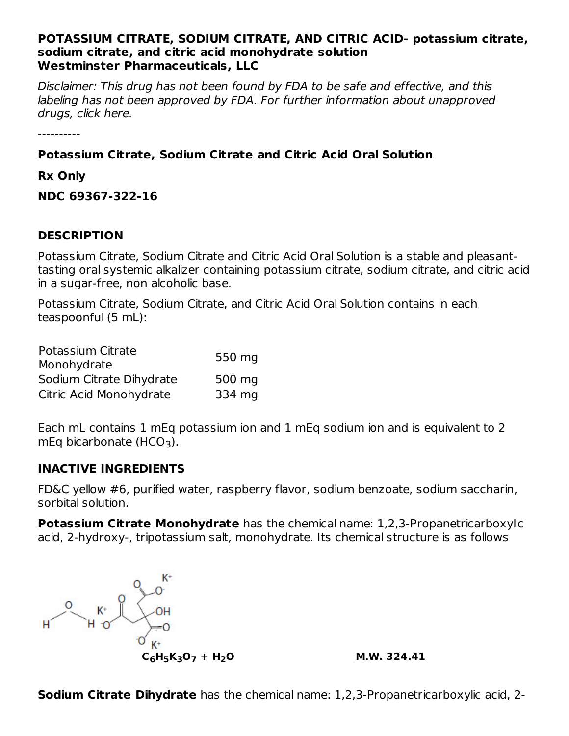#### **POTASSIUM CITRATE, SODIUM CITRATE, AND CITRIC ACID- potassium citrate, sodium citrate, and citric acid monohydrate solution Westminster Pharmaceuticals, LLC**

Disclaimer: This drug has not been found by FDA to be safe and effective, and this labeling has not been approved by FDA. For further information about unapproved drugs, click here.

----------

# **Potassium Citrate, Sodium Citrate and Citric Acid Oral Solution**

**Rx Only**

**NDC 69367-322-16**

## **DESCRIPTION**

Potassium Citrate, Sodium Citrate and Citric Acid Oral Solution is a stable and pleasanttasting oral systemic alkalizer containing potassium citrate, sodium citrate, and citric acid in a sugar-free, non alcoholic base.

Potassium Citrate, Sodium Citrate, and Citric Acid Oral Solution contains in each teaspoonful (5 mL):

| Potassium Citrate        | 550 mg |
|--------------------------|--------|
| Monohydrate              |        |
| Sodium Citrate Dihydrate | 500 mg |
| Citric Acid Monohydrate  | 334 mg |

Each mL contains 1 mEq potassium ion and 1 mEq sodium ion and is equivalent to 2  $mEq$  bicarbonate (HCO<sub>3</sub>).

## **INACTIVE INGREDIENTS**

FD&C yellow #6, purified water, raspberry flavor, sodium benzoate, sodium saccharin, sorbital solution.

**Potassium Citrate Monohydrate** has the chemical name: 1,2,3-Propanetricarboxylic acid, 2-hydroxy-, tripotassium salt, monohydrate. Its chemical structure is as follows

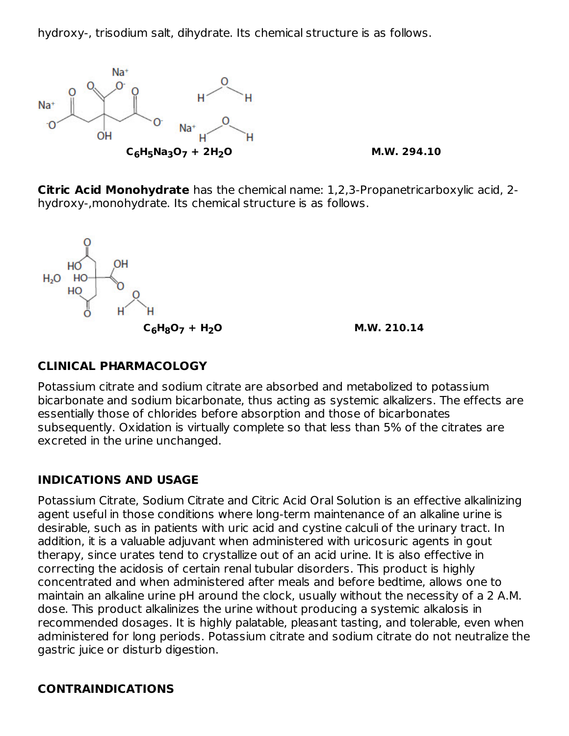hydroxy-, trisodium salt, dihydrate. Its chemical structure is as follows.



**Citric Acid Monohydrate** has the chemical name: 1,2,3-Propanetricarboxylic acid, 2 hydroxy-,monohydrate. Its chemical structure is as follows.



# **CLINICAL PHARMACOLOGY**

Potassium citrate and sodium citrate are absorbed and metabolized to potassium bicarbonate and sodium bicarbonate, thus acting as systemic alkalizers. The effects are essentially those of chlorides before absorption and those of bicarbonates subsequently. Oxidation is virtually complete so that less than 5% of the citrates are excreted in the urine unchanged.

# **INDICATIONS AND USAGE**

Potassium Citrate, Sodium Citrate and Citric Acid Oral Solution is an effective alkalinizing agent useful in those conditions where long-term maintenance of an alkaline urine is desirable, such as in patients with uric acid and cystine calculi of the urinary tract. In addition, it is a valuable adjuvant when administered with uricosuric agents in gout therapy, since urates tend to crystallize out of an acid urine. It is also effective in correcting the acidosis of certain renal tubular disorders. This product is highly concentrated and when administered after meals and before bedtime, allows one to maintain an alkaline urine pH around the clock, usually without the necessity of a 2 A.M. dose. This product alkalinizes the urine without producing a systemic alkalosis in recommended dosages. It is highly palatable, pleasant tasting, and tolerable, even when administered for long periods. Potassium citrate and sodium citrate do not neutralize the gastric juice or disturb digestion.

# **CONTRAINDICATIONS**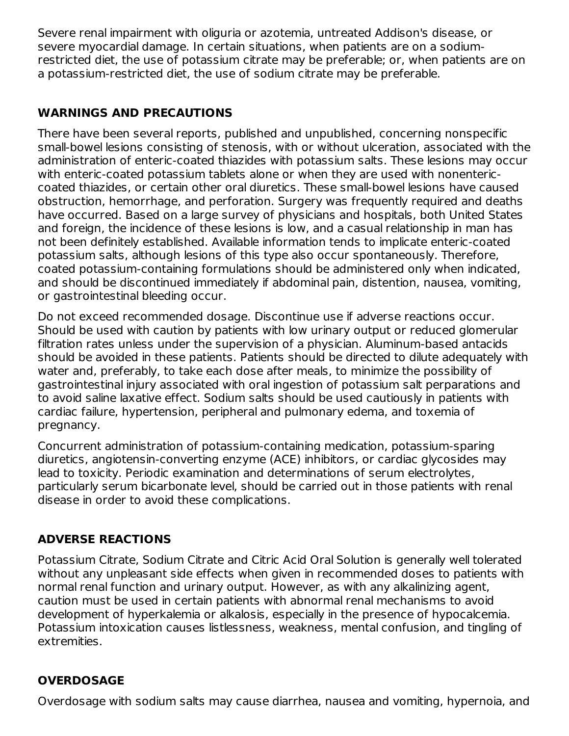Severe renal impairment with oliguria or azotemia, untreated Addison's disease, or severe myocardial damage. In certain situations, when patients are on a sodiumrestricted diet, the use of potassium citrate may be preferable; or, when patients are on a potassium-restricted diet, the use of sodium citrate may be preferable.

# **WARNINGS AND PRECAUTIONS**

There have been several reports, published and unpublished, concerning nonspecific small-bowel lesions consisting of stenosis, with or without ulceration, associated with the administration of enteric-coated thiazides with potassium salts. These lesions may occur with enteric-coated potassium tablets alone or when they are used with nonentericcoated thiazides, or certain other oral diuretics. These small-bowel lesions have caused obstruction, hemorrhage, and perforation. Surgery was frequently required and deaths have occurred. Based on a large survey of physicians and hospitals, both United States and foreign, the incidence of these lesions is low, and a casual relationship in man has not been definitely established. Available information tends to implicate enteric-coated potassium salts, although lesions of this type also occur spontaneously. Therefore, coated potassium-containing formulations should be administered only when indicated, and should be discontinued immediately if abdominal pain, distention, nausea, vomiting, or gastrointestinal bleeding occur.

Do not exceed recommended dosage. Discontinue use if adverse reactions occur. Should be used with caution by patients with low urinary output or reduced glomerular filtration rates unless under the supervision of a physician. Aluminum-based antacids should be avoided in these patients. Patients should be directed to dilute adequately with water and, preferably, to take each dose after meals, to minimize the possibility of gastrointestinal injury associated with oral ingestion of potassium salt perparations and to avoid saline laxative effect. Sodium salts should be used cautiously in patients with cardiac failure, hypertension, peripheral and pulmonary edema, and toxemia of pregnancy.

Concurrent administration of potassium-containing medication, potassium-sparing diuretics, angiotensin-converting enzyme (ACE) inhibitors, or cardiac glycosides may lead to toxicity. Periodic examination and determinations of serum electrolytes, particularly serum bicarbonate level, should be carried out in those patients with renal disease in order to avoid these complications.

# **ADVERSE REACTIONS**

Potassium Citrate, Sodium Citrate and Citric Acid Oral Solution is generally well tolerated without any unpleasant side effects when given in recommended doses to patients with normal renal function and urinary output. However, as with any alkalinizing agent, caution must be used in certain patients with abnormal renal mechanisms to avoid development of hyperkalemia or alkalosis, especially in the presence of hypocalcemia. Potassium intoxication causes listlessness, weakness, mental confusion, and tingling of extremities.

# **OVERDOSAGE**

Overdosage with sodium salts may cause diarrhea, nausea and vomiting, hypernoia, and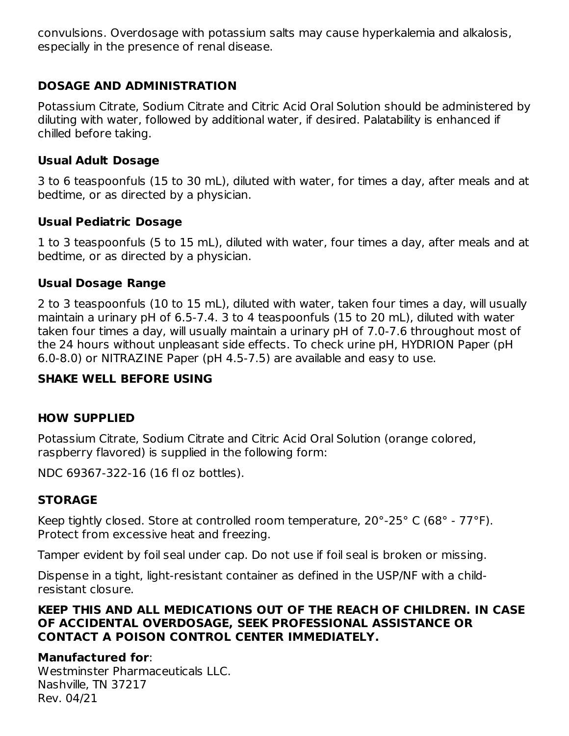convulsions. Overdosage with potassium salts may cause hyperkalemia and alkalosis, especially in the presence of renal disease.

# **DOSAGE AND ADMINISTRATION**

Potassium Citrate, Sodium Citrate and Citric Acid Oral Solution should be administered by diluting with water, followed by additional water, if desired. Palatability is enhanced if chilled before taking.

#### **Usual Adult Dosage**

3 to 6 teaspoonfuls (15 to 30 mL), diluted with water, for times a day, after meals and at bedtime, or as directed by a physician.

#### **Usual Pediatric Dosage**

1 to 3 teaspoonfuls (5 to 15 mL), diluted with water, four times a day, after meals and at bedtime, or as directed by a physician.

## **Usual Dosage Range**

2 to 3 teaspoonfuls (10 to 15 mL), diluted with water, taken four times a day, will usually maintain a urinary pH of 6.5-7.4. 3 to 4 teaspoonfuls (15 to 20 mL), diluted with water taken four times a day, will usually maintain a urinary pH of 7.0-7.6 throughout most of the 24 hours without unpleasant side effects. To check urine pH, HYDRION Paper (pH 6.0-8.0) or NITRAZINE Paper (pH 4.5-7.5) are available and easy to use.

## **SHAKE WELL BEFORE USING**

## **HOW SUPPLIED**

Potassium Citrate, Sodium Citrate and Citric Acid Oral Solution (orange colored, raspberry flavored) is supplied in the following form:

NDC 69367-322-16 (16 fl oz bottles).

## **STORAGE**

Keep tightly closed. Store at controlled room temperature, 20°-25° C (68° - 77°F). Protect from excessive heat and freezing.

Tamper evident by foil seal under cap. Do not use if foil seal is broken or missing.

Dispense in a tight, light-resistant container as defined in the USP/NF with a childresistant closure.

#### **KEEP THIS AND ALL MEDICATIONS OUT OF THE REACH OF CHILDREN. IN CASE OF ACCIDENTAL OVERDOSAGE, SEEK PROFESSIONAL ASSISTANCE OR CONTACT A POISON CONTROL CENTER IMMEDIATELY.**

## **Manufactured for**:

Westminster Pharmaceuticals LLC. Nashville, TN 37217 Rev. 04/21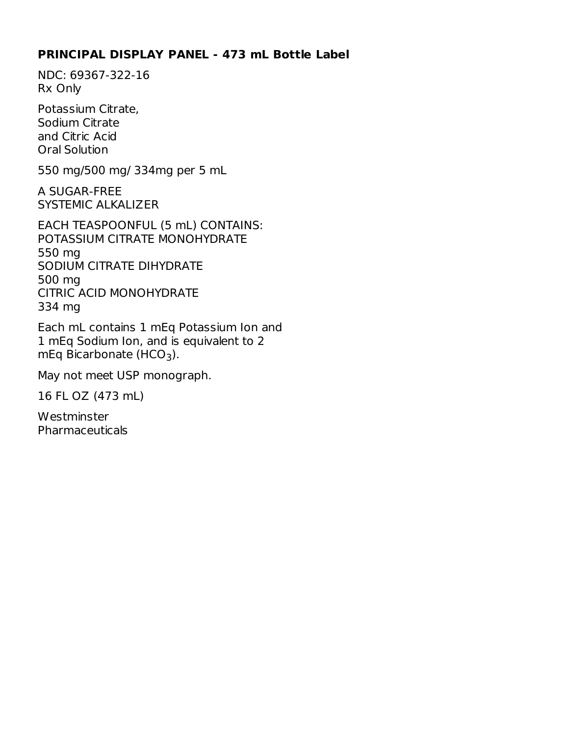#### **PRINCIPAL DISPLAY PANEL - 473 mL Bottle Label**

NDC: 69367-322-16 Rx Only

Potassium Citrate, Sodium Citrate and Citric Acid Oral Solution

550 mg/500 mg/ 334mg per 5 mL

A SUGAR-FREE SYSTEMIC ALKALIZER

EACH TEASPOONFUL (5 mL) CONTAINS: POTASSIUM CITRATE MONOHYDRATE 550 mg SODIUM CITRATE DIHYDRATE 500 mg CITRIC ACID MONOHYDRATE 334 mg

Each mL contains 1 mEq Potassium Ion and 1 mEq Sodium Ion, and is equivalent to 2  $mEq$  Bicarbonate (HCO<sub>3</sub>).

May not meet USP monograph.

16 FL OZ (473 mL)

**Westminster Pharmaceuticals**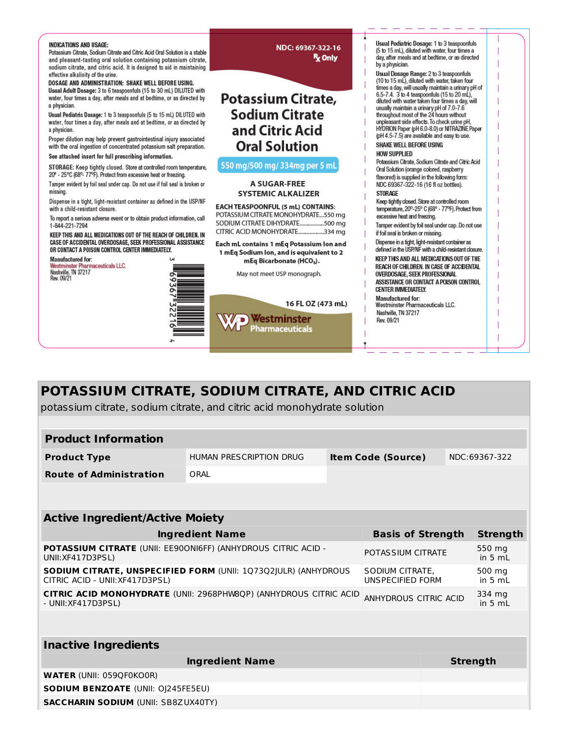

# **POTASSIUM CITRATE, SODIUM CITRATE, AND CITRIC ACID**

potassium citrate, sodium citrate, and citric acid monohydrate solution

**SACCHARIN SODIUM** (UNII: SB8ZUX40TY)

| <b>Product Information</b>                                                                        |                         |  |                                     |  |                     |  |
|---------------------------------------------------------------------------------------------------|-------------------------|--|-------------------------------------|--|---------------------|--|
| <b>Product Type</b>                                                                               | HUMAN PRESCRIPTION DRUG |  | <b>Item Code (Source)</b>           |  | NDC:69367-322       |  |
| <b>Route of Administration</b>                                                                    | ORAL                    |  |                                     |  |                     |  |
|                                                                                                   |                         |  |                                     |  |                     |  |
| <b>Active Ingredient/Active Moiety</b>                                                            |                         |  |                                     |  |                     |  |
|                                                                                                   | <b>Ingredient Name</b>  |  | <b>Basis of Strength</b>            |  | <b>Strength</b>     |  |
| <b>POTASSIUM CITRATE (UNII: EE90ONI6FF) (ANHYDROUS CITRIC ACID -</b><br>UNII: XF417D3PSL)         |                         |  | POTAS SIUM CITRATE                  |  | 550 mg<br>in $5 mL$ |  |
| SODIUM CITRATE, UNSPECIFIED FORM (UNII: 1Q73Q2JULR) (ANHYDROUS<br>CITRIC ACID - UNII: XF417D3PSL) |                         |  | SODIUM CITRATE,<br>UNSPECIFIED FORM |  | 500 mg<br>in $5 mL$ |  |
| <b>CITRIC ACID MONOHYDRATE (UNII: 2968PHW8QP) (ANHYDROUS CITRIC ACID</b><br>- UNII: XF417D3PSL)   |                         |  | ANHYDROUS CITRIC ACID               |  | 334 mg<br>in $5 mL$ |  |
|                                                                                                   |                         |  |                                     |  |                     |  |
| <b>Inactive Ingredients</b>                                                                       |                         |  |                                     |  |                     |  |
|                                                                                                   | <b>Ingredient Name</b>  |  |                                     |  | <b>Strength</b>     |  |
| <b>WATER (UNII: 059QF0KO0R)</b>                                                                   |                         |  |                                     |  |                     |  |
| <b>SODIUM BENZOATE (UNII: OI245FE5EU)</b>                                                         |                         |  |                                     |  |                     |  |